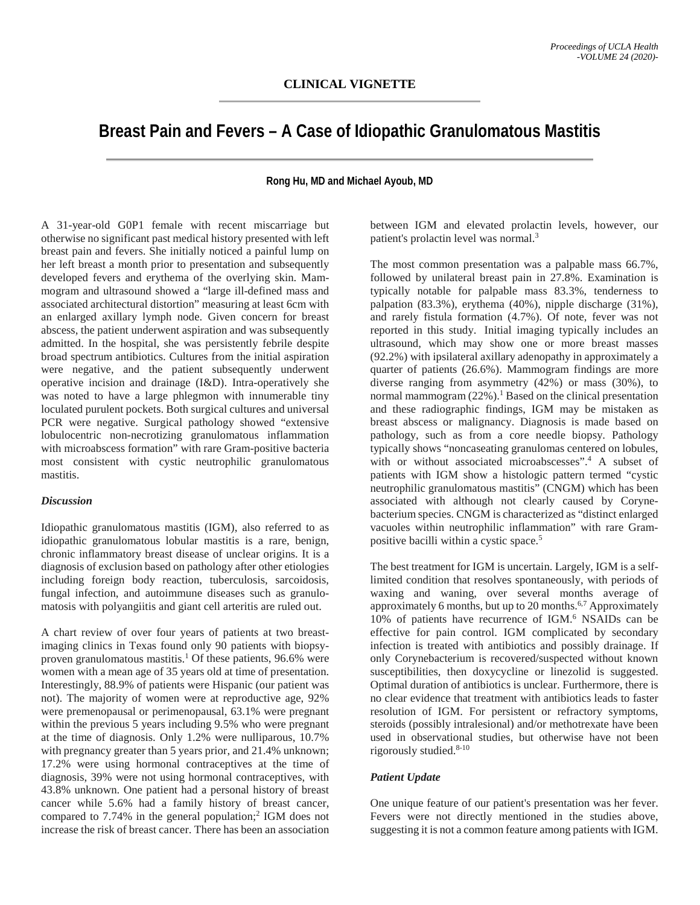# **Breast Pain and Fevers – A Case of Idiopathic Granulomatous Mastitis**

### **Rong Hu, MD and Michael Ayoub, MD**

A 31-year-old G0P1 female with recent miscarriage but otherwise no significant past medical history presented with left breast pain and fevers. She initially noticed a painful lump on her left breast a month prior to presentation and subsequently developed fevers and erythema of the overlying skin. Mammogram and ultrasound showed a "large ill-defined mass and associated architectural distortion" measuring at least 6cm with an enlarged axillary lymph node. Given concern for breast abscess, the patient underwent aspiration and was subsequently admitted. In the hospital, she was persistently febrile despite broad spectrum antibiotics. Cultures from the initial aspiration were negative, and the patient subsequently underwent operative incision and drainage (I&D). Intra-operatively she was noted to have a large phlegmon with innumerable tiny loculated purulent pockets. Both surgical cultures and universal PCR were negative. Surgical pathology showed "extensive lobulocentric non-necrotizing granulomatous inflammation with microabscess formation" with rare Gram-positive bacteria most consistent with cystic neutrophilic granulomatous mastitis.

#### *Discussion*

Idiopathic granulomatous mastitis (IGM), also referred to as idiopathic granulomatous lobular mastitis is a rare, benign, chronic inflammatory breast disease of unclear origins. It is a diagnosis of exclusion based on pathology after other etiologies including foreign body reaction, tuberculosis, sarcoidosis, fungal infection, and autoimmune diseases such as granulomatosis with polyangiitis and giant cell arteritis are ruled out.

A chart review of over four years of patients at two breastimaging clinics in Texas found only 90 patients with biopsyproven granulomatous mastitis.<sup>1</sup> Of these patients,  $96.6\%$  were women with a mean age of 35 years old at time of presentation. Interestingly, 88.9% of patients were Hispanic (our patient was not). The majority of women were at reproductive age, 92% were premenopausal or perimenopausal, 63.1% were pregnant within the previous 5 years including 9.5% who were pregnant at the time of diagnosis. Only 1.2% were nulliparous, 10.7% with pregnancy greater than 5 years prior, and 21.4% unknown; 17.2% were using hormonal contraceptives at the time of diagnosis, 39% were not using hormonal contraceptives, with 43.8% unknown. One patient had a personal history of breast cancer while 5.6% had a family history of breast cancer, compared to 7.74% in the general population;<sup>2</sup> IGM does not increase the risk of breast cancer. There has been an association

between IGM and elevated prolactin levels, however, our patient's prolactin level was normal. 3

The most common presentation was a palpable mass 66.7%, followed by unilateral breast pain in 27.8%. Examination is typically notable for palpable mass 83.3%, tenderness to palpation (83.3%), erythema (40%), nipple discharge (31%), and rarely fistula formation (4.7%). Of note, fever was not reported in this study. Initial imaging typically includes an ultrasound, which may show one or more breast masses (92.2%) with ipsilateral axillary adenopathy in approximately a quarter of patients (26.6%). Mammogram findings are more diverse ranging from asymmetry (42%) or mass (30%), to normal mammogram  $(22%)$ .<sup>1</sup> Based on the clinical presentation and these radiographic findings, IGM may be mistaken as breast abscess or malignancy. Diagnosis is made based on pathology, such as from a core needle biopsy. Pathology typically shows "noncaseating granulomas centered on lobules, with or without associated microabscesses".4 A subset of patients with IGM show a histologic pattern termed "cystic neutrophilic granulomatous mastitis" (CNGM) which has been associated with although not clearly caused by Corynebacterium species. CNGM is characterized as "distinct enlarged vacuoles within neutrophilic inflammation" with rare Grampositive bacilli within a cystic space.5

The best treatment for IGM is uncertain. Largely, IGM is a selflimited condition that resolves spontaneously, with periods of waxing and waning, over several months average of approximately 6 months, but up to 20 months.<sup>6,7</sup> Approximately 10% of patients have recurrence of IGM.6 NSAIDs can be effective for pain control. IGM complicated by secondary infection is treated with antibiotics and possibly drainage. If only Corynebacterium is recovered/suspected without known susceptibilities, then doxycycline or linezolid is suggested. Optimal duration of antibiotics is unclear. Furthermore, there is no clear evidence that treatment with antibiotics leads to faster resolution of IGM. For persistent or refractory symptoms, steroids (possibly intralesional) and/or methotrexate have been used in observational studies, but otherwise have not been rigorously studied.<sup>8-10</sup>

#### *Patient Update*

One unique feature of our patient's presentation was her fever. Fevers were not directly mentioned in the studies above, suggesting it is not a common feature among patients with IGM.